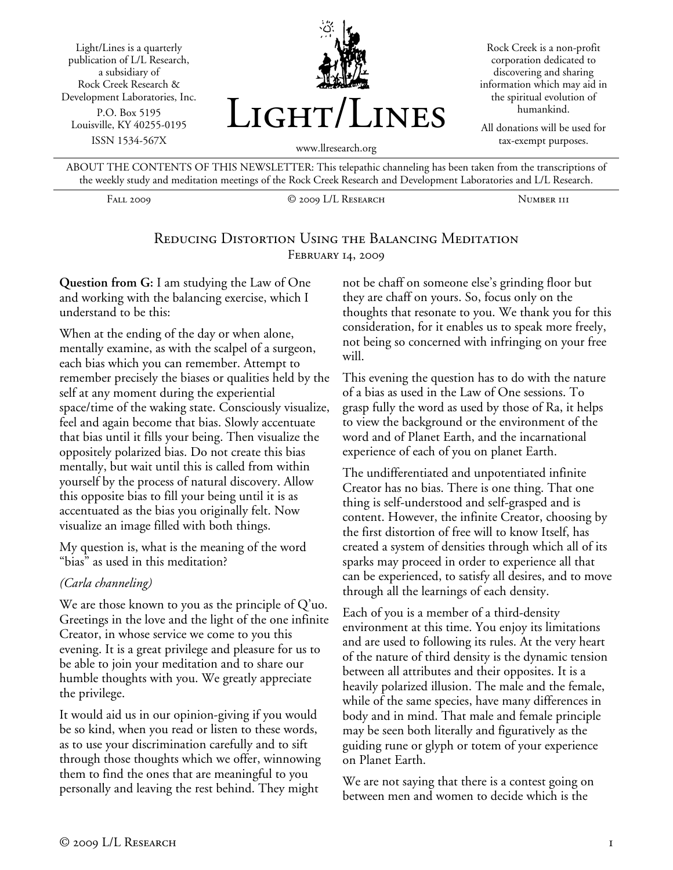Light/Lines is a quarterly publication of L/L Research, a subsidiary of Rock Creek Research & Development Laboratories, Inc. P.O. Box 5195 Louisville, KY 40255-0195 ISSN 1534-567X



Rock Creek is a non-profit corporation dedicated to discovering and sharing information which may aid in the spiritual evolution of humankind.

All donations will be used for tax-exempt purposes.

ABOUT THE CONTENTS OF THIS NEWSLETTER: This telepathic channeling has been taken from the transcriptions of the weekly study and meditation meetings of the Rock Creek Research and Development Laboratories and L/L Research.

Fall 2009 © 2009 L/L Research Number 111

### Reducing Distortion Using the Balancing Meditation February 14, 2009

**Question from G:** I am studying the Law of One and working with the balancing exercise, which I understand to be this:

When at the ending of the day or when alone, mentally examine, as with the scalpel of a surgeon, each bias which you can remember. Attempt to remember precisely the biases or qualities held by the self at any moment during the experiential space/time of the waking state. Consciously visualize, feel and again become that bias. Slowly accentuate that bias until it fills your being. Then visualize the oppositely polarized bias. Do not create this bias mentally, but wait until this is called from within yourself by the process of natural discovery. Allow this opposite bias to fill your being until it is as accentuated as the bias you originally felt. Now visualize an image filled with both things.

My question is, what is the meaning of the word "bias" as used in this meditation?

#### *(Carla channeling)*

We are those known to you as the principle of Q'uo. Greetings in the love and the light of the one infinite Creator, in whose service we come to you this evening. It is a great privilege and pleasure for us to be able to join your meditation and to share our humble thoughts with you. We greatly appreciate the privilege.

It would aid us in our opinion-giving if you would be so kind, when you read or listen to these words, as to use your discrimination carefully and to sift through those thoughts which we offer, winnowing them to find the ones that are meaningful to you personally and leaving the rest behind. They might

not be chaff on someone else's grinding floor but they are chaff on yours. So, focus only on the thoughts that resonate to you. We thank you for this consideration, for it enables us to speak more freely, not being so concerned with infringing on your free will.

This evening the question has to do with the nature of a bias as used in the Law of One sessions. To grasp fully the word as used by those of Ra, it helps to view the background or the environment of the word and of Planet Earth, and the incarnational experience of each of you on planet Earth.

The undifferentiated and unpotentiated infinite Creator has no bias. There is one thing. That one thing is self-understood and self-grasped and is content. However, the infinite Creator, choosing by the first distortion of free will to know Itself, has created a system of densities through which all of its sparks may proceed in order to experience all that can be experienced, to satisfy all desires, and to move through all the learnings of each density.

Each of you is a member of a third-density environment at this time. You enjoy its limitations and are used to following its rules. At the very heart of the nature of third density is the dynamic tension between all attributes and their opposites. It is a heavily polarized illusion. The male and the female, while of the same species, have many differences in body and in mind. That male and female principle may be seen both literally and figuratively as the guiding rune or glyph or totem of your experience on Planet Earth.

We are not saying that there is a contest going on between men and women to decide which is the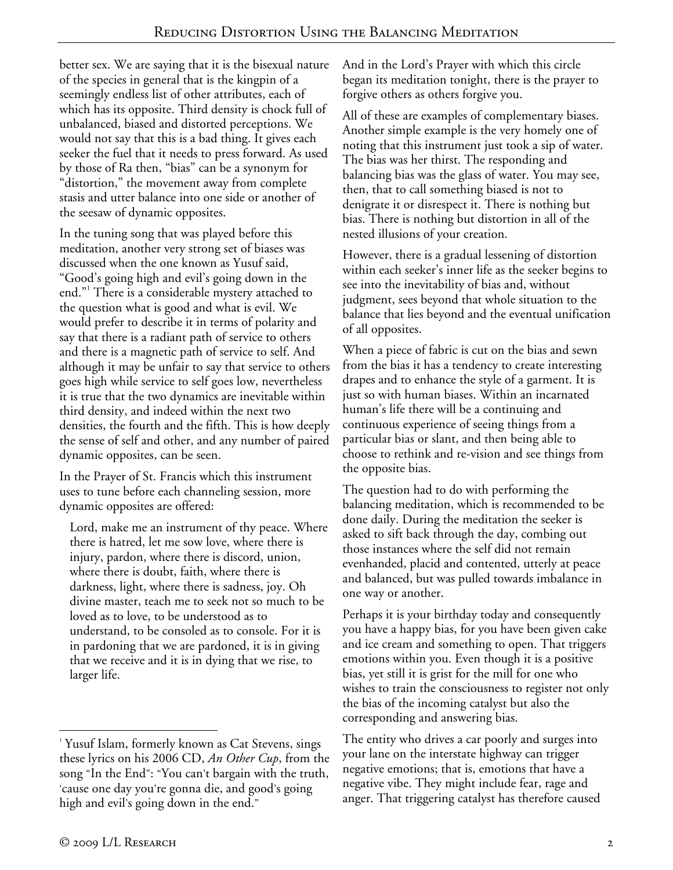better sex. We are saying that it is the bisexual nature of the species in general that is the kingpin of a seemingly endless list of other attributes, each of which has its opposite. Third density is chock full of unbalanced, biased and distorted perceptions. We would not say that this is a bad thing. It gives each seeker the fuel that it needs to press forward. As used by those of Ra then, "bias" can be a synonym for "distortion," the movement away from complete stasis and utter balance into one side or another of the seesaw of dynamic opposites.

In the tuning song that was played before this meditation, another very strong set of biases was discussed when the one known as Yusuf said, "Good's going high and evil's going down in the end."<sup>1</sup> There is a considerable mystery attached to the question what is good and what is evil. We would prefer to describe it in terms of polarity and say that there is a radiant path of service to others and there is a magnetic path of service to self. And although it may be unfair to say that service to others goes high while service to self goes low, nevertheless it is true that the two dynamics are inevitable within third density, and indeed within the next two densities, the fourth and the fifth. This is how deeply the sense of self and other, and any number of paired dynamic opposites, can be seen.

In the Prayer of St. Francis which this instrument uses to tune before each channeling session, more dynamic opposites are offered:

Lord, make me an instrument of thy peace. Where there is hatred, let me sow love, where there is injury, pardon, where there is discord, union, where there is doubt, faith, where there is darkness, light, where there is sadness, joy. Oh divine master, teach me to seek not so much to be loved as to love, to be understood as to understand, to be consoled as to console. For it is in pardoning that we are pardoned, it is in giving that we receive and it is in dying that we rise, to larger life.

And in the Lord's Prayer with which this circle began its meditation tonight, there is the prayer to forgive others as others forgive you.

All of these are examples of complementary biases. Another simple example is the very homely one of noting that this instrument just took a sip of water. The bias was her thirst. The responding and balancing bias was the glass of water. You may see, then, that to call something biased is not to denigrate it or disrespect it. There is nothing but bias. There is nothing but distortion in all of the nested illusions of your creation.

However, there is a gradual lessening of distortion within each seeker's inner life as the seeker begins to see into the inevitability of bias and, without judgment, sees beyond that whole situation to the balance that lies beyond and the eventual unification of all opposites.

When a piece of fabric is cut on the bias and sewn from the bias it has a tendency to create interesting drapes and to enhance the style of a garment. It is just so with human biases. Within an incarnated human's life there will be a continuing and continuous experience of seeing things from a particular bias or slant, and then being able to choose to rethink and re-vision and see things from the opposite bias.

The question had to do with performing the balancing meditation, which is recommended to be done daily. During the meditation the seeker is asked to sift back through the day, combing out those instances where the self did not remain evenhanded, placid and contented, utterly at peace and balanced, but was pulled towards imbalance in one way or another.

Perhaps it is your birthday today and consequently you have a happy bias, for you have been given cake and ice cream and something to open. That triggers emotions within you. Even though it is a positive bias, yet still it is grist for the mill for one who wishes to train the consciousness to register not only the bias of the incoming catalyst but also the corresponding and answering bias.

The entity who drives a car poorly and surges into your lane on the interstate highway can trigger negative emotions; that is, emotions that have a negative vibe. They might include fear, rage and anger. That triggering catalyst has therefore caused

<sup>&</sup>lt;u>.</u> <sup>1</sup> Yusuf Islam, formerly known as Cat Stevens, sings these lyrics on his 2006 CD, *An Other Cup*, from the song "In the End": "You can't bargain with the truth, 'cause one day you're gonna die, and good's going high and evil's going down in the end."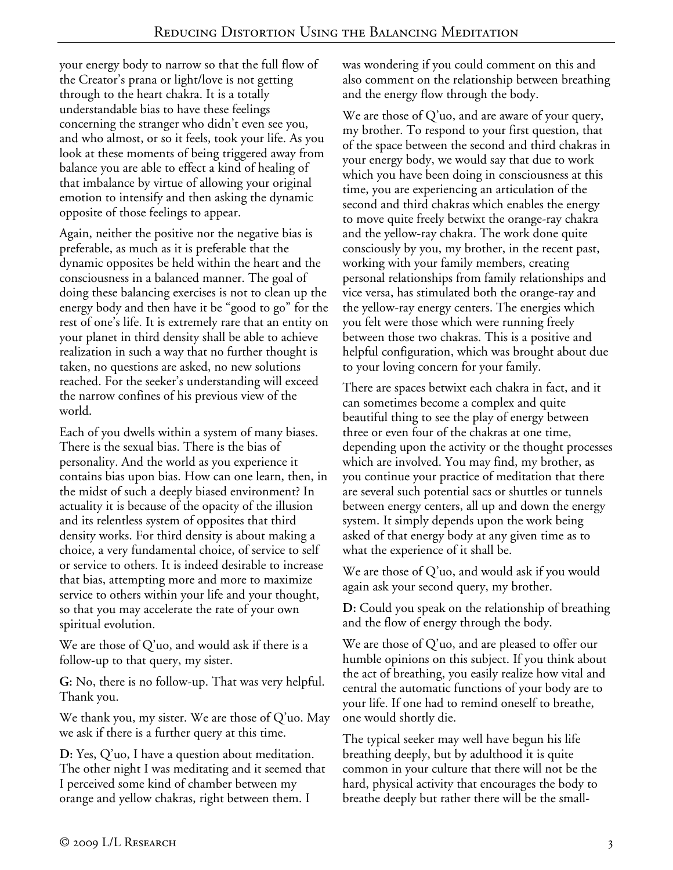your energy body to narrow so that the full flow of the Creator's prana or light/love is not getting through to the heart chakra. It is a totally understandable bias to have these feelings concerning the stranger who didn't even see you, and who almost, or so it feels, took your life. As you look at these moments of being triggered away from balance you are able to effect a kind of healing of that imbalance by virtue of allowing your original emotion to intensify and then asking the dynamic opposite of those feelings to appear.

Again, neither the positive nor the negative bias is preferable, as much as it is preferable that the dynamic opposites be held within the heart and the consciousness in a balanced manner. The goal of doing these balancing exercises is not to clean up the energy body and then have it be "good to go" for the rest of one's life. It is extremely rare that an entity on your planet in third density shall be able to achieve realization in such a way that no further thought is taken, no questions are asked, no new solutions reached. For the seeker's understanding will exceed the narrow confines of his previous view of the world.

Each of you dwells within a system of many biases. There is the sexual bias. There is the bias of personality. And the world as you experience it contains bias upon bias. How can one learn, then, in the midst of such a deeply biased environment? In actuality it is because of the opacity of the illusion and its relentless system of opposites that third density works. For third density is about making a choice, a very fundamental choice, of service to self or service to others. It is indeed desirable to increase that bias, attempting more and more to maximize service to others within your life and your thought, so that you may accelerate the rate of your own spiritual evolution.

We are those of Q'uo, and would ask if there is a follow-up to that query, my sister.

**G:** No, there is no follow-up. That was very helpful. Thank you.

We thank you, my sister. We are those of Q'uo. May we ask if there is a further query at this time.

**D:** Yes, Q'uo, I have a question about meditation. The other night I was meditating and it seemed that I perceived some kind of chamber between my orange and yellow chakras, right between them. I

was wondering if you could comment on this and also comment on the relationship between breathing and the energy flow through the body.

We are those of Q'uo, and are aware of your query, my brother. To respond to your first question, that of the space between the second and third chakras in your energy body, we would say that due to work which you have been doing in consciousness at this time, you are experiencing an articulation of the second and third chakras which enables the energy to move quite freely betwixt the orange-ray chakra and the yellow-ray chakra. The work done quite consciously by you, my brother, in the recent past, working with your family members, creating personal relationships from family relationships and vice versa, has stimulated both the orange-ray and the yellow-ray energy centers. The energies which you felt were those which were running freely between those two chakras. This is a positive and helpful configuration, which was brought about due to your loving concern for your family.

There are spaces betwixt each chakra in fact, and it can sometimes become a complex and quite beautiful thing to see the play of energy between three or even four of the chakras at one time, depending upon the activity or the thought processes which are involved. You may find, my brother, as you continue your practice of meditation that there are several such potential sacs or shuttles or tunnels between energy centers, all up and down the energy system. It simply depends upon the work being asked of that energy body at any given time as to what the experience of it shall be.

We are those of Q'uo, and would ask if you would again ask your second query, my brother.

**D:** Could you speak on the relationship of breathing and the flow of energy through the body.

We are those of Q'uo, and are pleased to offer our humble opinions on this subject. If you think about the act of breathing, you easily realize how vital and central the automatic functions of your body are to your life. If one had to remind oneself to breathe, one would shortly die.

The typical seeker may well have begun his life breathing deeply, but by adulthood it is quite common in your culture that there will not be the hard, physical activity that encourages the body to breathe deeply but rather there will be the small-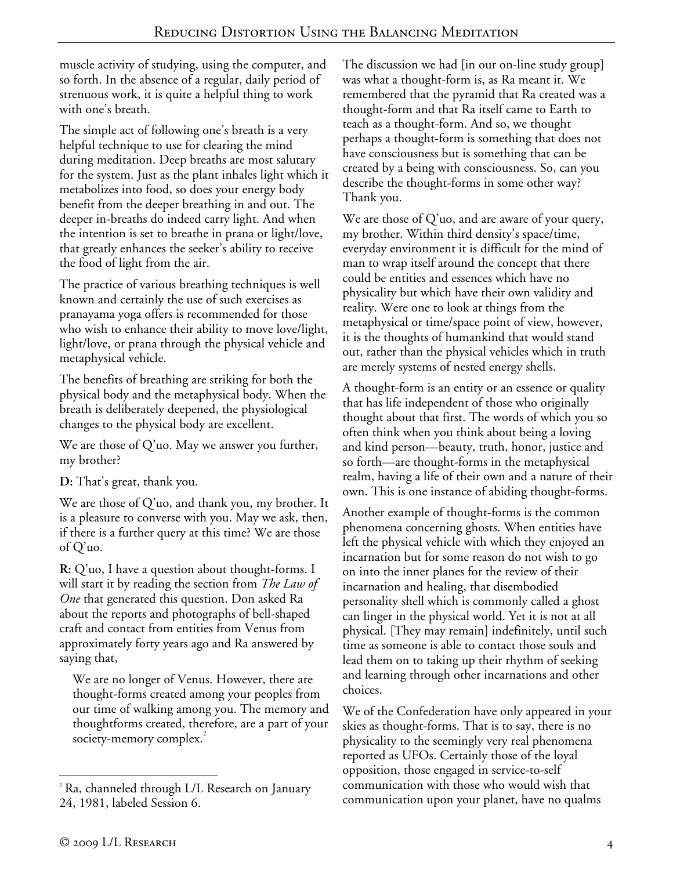muscle activity of studying, using the computer, and so forth. In the absence of a regular, daily period of strenuous work, it is quite a helpful thing to work with one's breath.

The simple act of following one's breath is a very helpful technique to use for clearing the mind during meditation. Deep breaths are most salutary for the system. Just as the plant inhales light which it metabolizes into food, so does your energy body benefit from the deeper breathing in and out. The deeper in-breaths do indeed carry light. And when the intention is set to breathe in prana or light/love, that greatly enhances the seeker's ability to receive the food of light from the air.

The practice of various breathing techniques is well known and certainly the use of such exercises as pranayama yoga offers is recommended for those who wish to enhance their ability to move love/light, light/love, or prana through the physical vehicle and metaphysical vehicle.

The benefits of breathing are striking for both the physical body and the metaphysical body. When the breath is deliberately deepened, the physiological changes to the physical body are excellent.

We are those of Q'uo. May we answer you further, my brother?

**D:** That's great, thank you.

We are those of Q'uo, and thank you, my brother. It is a pleasure to converse with you. May we ask, then, if there is a further query at this time? We are those of Q'uo.

**R:** Q'uo, I have a question about thought-forms. I will start it by reading the section from *The Law of One* that generated this question. Don asked Ra about the reports and photographs of bell-shaped craft and contact from entities from Venus from approximately forty years ago and Ra answered by saying that,

We are no longer of Venus. However, there are thought-forms created among your peoples from our time of walking among you. The memory and thoughtforms created, therefore, are a part of your society-memory complex.<sup>2</sup>

The discussion we had [in our on-line study group] was what a thought-form is, as Ra meant it. We remembered that the pyramid that Ra created was a thought-form and that Ra itself came to Earth to teach as a thought-form. And so, we thought perhaps a thought-form is something that does not have consciousness but is something that can be created by a being with consciousness. So, can you describe the thought-forms in some other way? Thank you.

We are those of Q'uo, and are aware of your query, my brother. Within third density's space/time, everyday environment it is difficult for the mind of man to wrap itself around the concept that there could be entities and essences which have no physicality but which have their own validity and reality. Were one to look at things from the metaphysical or time/space point of view, however, it is the thoughts of humankind that would stand out, rather than the physical vehicles which in truth are merely systems of nested energy shells.

A thought-form is an entity or an essence or quality that has life independent of those who originally thought about that first. The words of which you so often think when you think about being a loving and kind person—beauty, truth, honor, justice and so forth—are thought-forms in the metaphysical realm, having a life of their own and a nature of their own. This is one instance of abiding thought-forms.

Another example of thought-forms is the common phenomena concerning ghosts. When entities have left the physical vehicle with which they enjoyed an incarnation but for some reason do not wish to go on into the inner planes for the review of their incarnation and healing, that disembodied personality shell which is commonly called a ghost can linger in the physical world. Yet it is not at all physical. [They may remain] indefinitely, until such time as someone is able to contact those souls and lead them on to taking up their rhythm of seeking and learning through other incarnations and other choices.

We of the Confederation have only appeared in your skies as thought-forms. That is to say, there is no physicality to the seemingly very real phenomena reported as UFOs. Certainly those of the loyal opposition, those engaged in service-to-self communication with those who would wish that communication upon your planet, have no qualms

<sup>&</sup>lt;u>.</u> <sup>2</sup> Ra, channeled through L/L Research on January 24, 1981, labeled Session 6.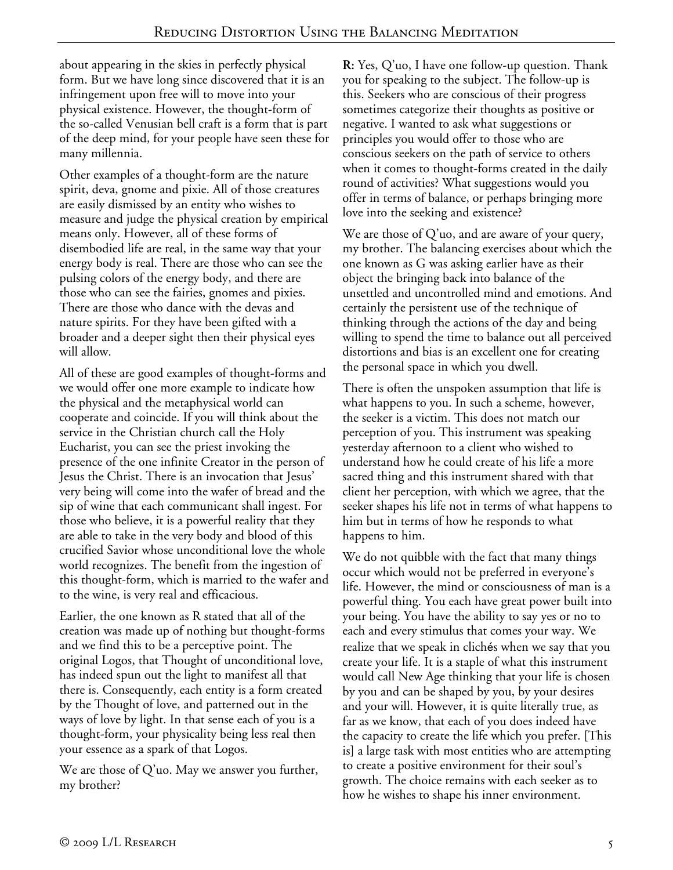about appearing in the skies in perfectly physical form. But we have long since discovered that it is an infringement upon free will to move into your physical existence. However, the thought-form of the so-called Venusian bell craft is a form that is part of the deep mind, for your people have seen these for many millennia.

Other examples of a thought-form are the nature spirit, deva, gnome and pixie. All of those creatures are easily dismissed by an entity who wishes to measure and judge the physical creation by empirical means only. However, all of these forms of disembodied life are real, in the same way that your energy body is real. There are those who can see the pulsing colors of the energy body, and there are those who can see the fairies, gnomes and pixies. There are those who dance with the devas and nature spirits. For they have been gifted with a broader and a deeper sight then their physical eyes will allow.

All of these are good examples of thought-forms and we would offer one more example to indicate how the physical and the metaphysical world can cooperate and coincide. If you will think about the service in the Christian church call the Holy Eucharist, you can see the priest invoking the presence of the one infinite Creator in the person of Jesus the Christ. There is an invocation that Jesus' very being will come into the wafer of bread and the sip of wine that each communicant shall ingest. For those who believe, it is a powerful reality that they are able to take in the very body and blood of this crucified Savior whose unconditional love the whole world recognizes. The benefit from the ingestion of this thought-form, which is married to the wafer and to the wine, is very real and efficacious.

Earlier, the one known as R stated that all of the creation was made up of nothing but thought-forms and we find this to be a perceptive point. The original Logos, that Thought of unconditional love, has indeed spun out the light to manifest all that there is. Consequently, each entity is a form created by the Thought of love, and patterned out in the ways of love by light. In that sense each of you is a thought-form, your physicality being less real then your essence as a spark of that Logos.

We are those of Q'uo. May we answer you further, my brother?

**R:** Yes, Q'uo, I have one follow-up question. Thank you for speaking to the subject. The follow-up is this. Seekers who are conscious of their progress sometimes categorize their thoughts as positive or negative. I wanted to ask what suggestions or principles you would offer to those who are conscious seekers on the path of service to others when it comes to thought-forms created in the daily round of activities? What suggestions would you offer in terms of balance, or perhaps bringing more love into the seeking and existence?

We are those of Q'uo, and are aware of your query, my brother. The balancing exercises about which the one known as G was asking earlier have as their object the bringing back into balance of the unsettled and uncontrolled mind and emotions. And certainly the persistent use of the technique of thinking through the actions of the day and being willing to spend the time to balance out all perceived distortions and bias is an excellent one for creating the personal space in which you dwell.

There is often the unspoken assumption that life is what happens to you. In such a scheme, however, the seeker is a victim. This does not match our perception of you. This instrument was speaking yesterday afternoon to a client who wished to understand how he could create of his life a more sacred thing and this instrument shared with that client her perception, with which we agree, that the seeker shapes his life not in terms of what happens to him but in terms of how he responds to what happens to him.

We do not quibble with the fact that many things occur which would not be preferred in everyone's life. However, the mind or consciousness of man is a powerful thing. You each have great power built into your being. You have the ability to say yes or no to each and every stimulus that comes your way. We realize that we speak in clichés when we say that you create your life. It is a staple of what this instrument would call New Age thinking that your life is chosen by you and can be shaped by you, by your desires and your will. However, it is quite literally true, as far as we know, that each of you does indeed have the capacity to create the life which you prefer. [This is] a large task with most entities who are attempting to create a positive environment for their soul's growth. The choice remains with each seeker as to how he wishes to shape his inner environment.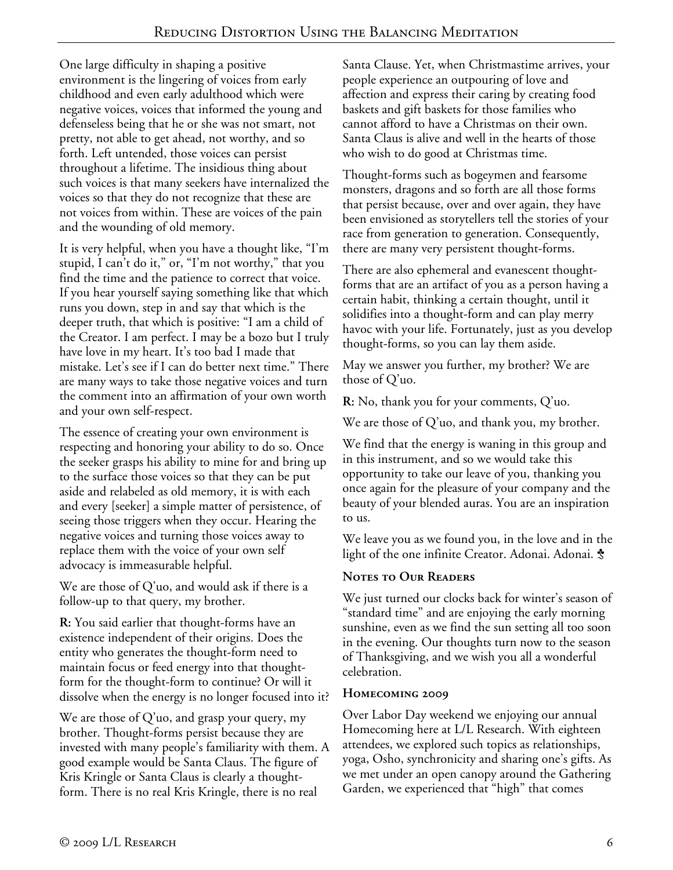One large difficulty in shaping a positive environment is the lingering of voices from early childhood and even early adulthood which were negative voices, voices that informed the young and defenseless being that he or she was not smart, not pretty, not able to get ahead, not worthy, and so forth. Left untended, those voices can persist throughout a lifetime. The insidious thing about such voices is that many seekers have internalized the voices so that they do not recognize that these are not voices from within. These are voices of the pain and the wounding of old memory.

It is very helpful, when you have a thought like, "I'm stupid, I can't do it," or, "I'm not worthy," that you find the time and the patience to correct that voice. If you hear yourself saying something like that which runs you down, step in and say that which is the deeper truth, that which is positive: "I am a child of the Creator. I am perfect. I may be a bozo but I truly have love in my heart. It's too bad I made that mistake. Let's see if I can do better next time." There are many ways to take those negative voices and turn the comment into an affirmation of your own worth and your own self-respect.

The essence of creating your own environment is respecting and honoring your ability to do so. Once the seeker grasps his ability to mine for and bring up to the surface those voices so that they can be put aside and relabeled as old memory, it is with each and every [seeker] a simple matter of persistence, of seeing those triggers when they occur. Hearing the negative voices and turning those voices away to replace them with the voice of your own self advocacy is immeasurable helpful.

We are those of Q'uo, and would ask if there is a follow-up to that query, my brother.

**R:** You said earlier that thought-forms have an existence independent of their origins. Does the entity who generates the thought-form need to maintain focus or feed energy into that thoughtform for the thought-form to continue? Or will it dissolve when the energy is no longer focused into it?

We are those of Q'uo, and grasp your query, my brother. Thought-forms persist because they are invested with many people's familiarity with them. A good example would be Santa Claus. The figure of Kris Kringle or Santa Claus is clearly a thoughtform. There is no real Kris Kringle, there is no real

Santa Clause. Yet, when Christmastime arrives, your people experience an outpouring of love and affection and express their caring by creating food baskets and gift baskets for those families who cannot afford to have a Christmas on their own. Santa Claus is alive and well in the hearts of those who wish to do good at Christmas time.

Thought-forms such as bogeymen and fearsome monsters, dragons and so forth are all those forms that persist because, over and over again, they have been envisioned as storytellers tell the stories of your race from generation to generation. Consequently, there are many very persistent thought-forms.

There are also ephemeral and evanescent thoughtforms that are an artifact of you as a person having a certain habit, thinking a certain thought, until it solidifies into a thought-form and can play merry havoc with your life. Fortunately, just as you develop thought-forms, so you can lay them aside.

May we answer you further, my brother? We are those of Q'uo.

**R:** No, thank you for your comments, Q'uo.

We are those of Q'uo, and thank you, my brother.

We find that the energy is waning in this group and in this instrument, and so we would take this opportunity to take our leave of you, thanking you once again for the pleasure of your company and the beauty of your blended auras. You are an inspiration to us.

We leave you as we found you, in the love and in the light of the one infinite Creator. Adonai. Adonai.  $\boldsymbol{\dot{x}}$ 

### **Notes to Our Readers**

We just turned our clocks back for winter's season of "standard time" and are enjoying the early morning sunshine, even as we find the sun setting all too soon in the evening. Our thoughts turn now to the season of Thanksgiving, and we wish you all a wonderful celebration.

### **Homecoming 2009**

Over Labor Day weekend we enjoying our annual Homecoming here at L/L Research. With eighteen attendees, we explored such topics as relationships, yoga, Osho, synchronicity and sharing one's gifts. As we met under an open canopy around the Gathering Garden, we experienced that "high" that comes